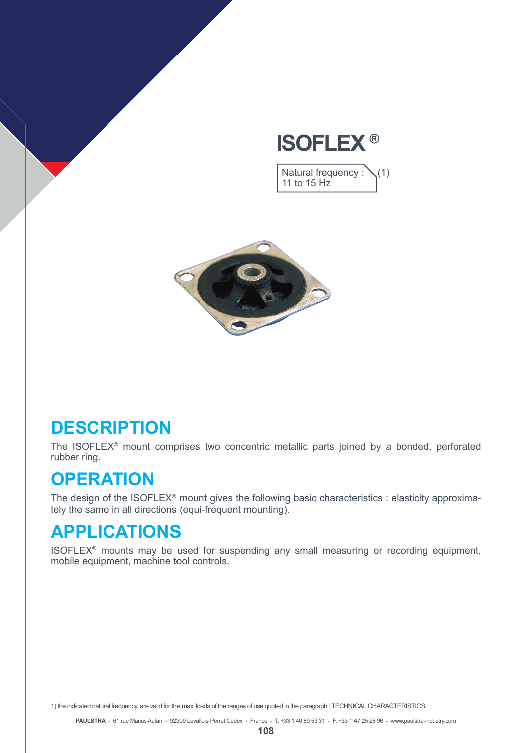## **ISOFLEX ®**

Natural frequency :  $\setminus$  (1) 11 to 15 Hz



#### **DESCRIPTION**

The ISOFLEX® mount comprises two concentric metallic parts joined by a bonded, perforated rubber ring.

#### **OPERATION**

The design of the ISOFLEX<sup>®</sup> mount gives the following basic characteristics : elasticity approximately the same in all directions (equi-frequent mounting).

### **APPLICATIONS**

ISOFLEX® mounts may be used for suspending any small measuring or recording equipment, mobile equipment, machine tool controls.

1) the indicated natural frequency, are valid for the maxi loads of the ranges of use quoted in the paragraph : TECHNICAL CHARACTERISTICS.